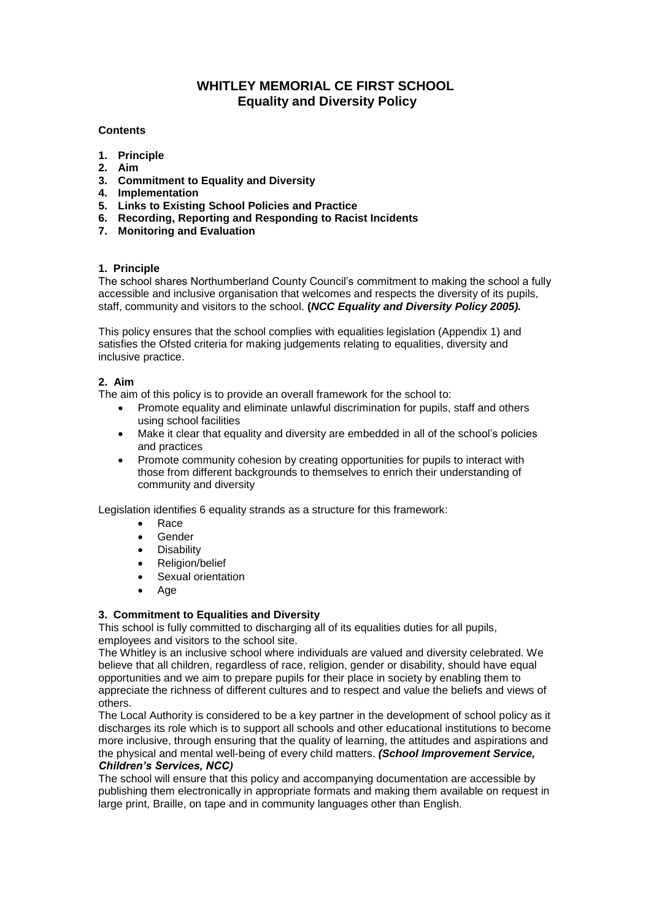# **WHITLEY MEMORIAL CE FIRST SCHOOL Equality and Diversity Policy**

## **Contents**

- **1. Principle**
- **2. Aim**
- **3. Commitment to Equality and Diversity**
- **4. Implementation**
- **5. Links to Existing School Policies and Practice**
- **6. Recording, Reporting and Responding to Racist Incidents**
- **7. Monitoring and Evaluation**

## **1. Principle**

The school shares Northumberland County Council's commitment to making the school a fully accessible and inclusive organisation that welcomes and respects the diversity of its pupils, staff, community and visitors to the school. **(***NCC Equality and Diversity Policy 2005).*

This policy ensures that the school complies with equalities legislation (Appendix 1) and satisfies the Ofsted criteria for making judgements relating to equalities, diversity and inclusive practice.

#### **2. Aim**

The aim of this policy is to provide an overall framework for the school to:

- Promote equality and eliminate unlawful discrimination for pupils, staff and others using school facilities
- Make it clear that equality and diversity are embedded in all of the school's policies and practices
- Promote community cohesion by creating opportunities for pupils to interact with those from different backgrounds to themselves to enrich their understanding of community and diversity

Legislation identifies 6 equality strands as a structure for this framework:

- Race
- Gender
- **•** Disability
- Religion/belief
- Sexual orientation
- Age

#### **3. Commitment to Equalities and Diversity**

This school is fully committed to discharging all of its equalities duties for all pupils, employees and visitors to the school site.

The Whitley is an inclusive school where individuals are valued and diversity celebrated. We believe that all children, regardless of race, religion, gender or disability, should have equal opportunities and we aim to prepare pupils for their place in society by enabling them to appreciate the richness of different cultures and to respect and value the beliefs and views of others.

The Local Authority is considered to be a key partner in the development of school policy as it discharges its role which is to support all schools and other educational institutions to become more inclusive, through ensuring that the quality of learning, the attitudes and aspirations and the physical and mental well-being of every child matters. *(School Improvement Service, Children's Services, NCC)*

The school will ensure that this policy and accompanying documentation are accessible by publishing them electronically in appropriate formats and making them available on request in large print, Braille, on tape and in community languages other than English.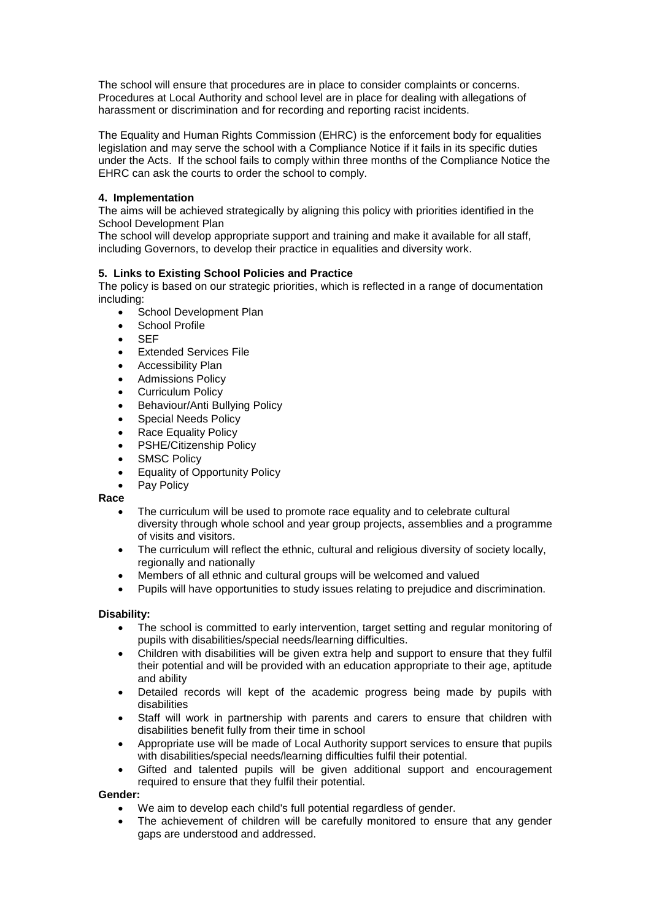The school will ensure that procedures are in place to consider complaints or concerns. Procedures at Local Authority and school level are in place for dealing with allegations of harassment or discrimination and for recording and reporting racist incidents.

The Equality and Human Rights Commission (EHRC) is the enforcement body for equalities legislation and may serve the school with a Compliance Notice if it fails in its specific duties under the Acts. If the school fails to comply within three months of the Compliance Notice the EHRC can ask the courts to order the school to comply.

## **4. Implementation**

The aims will be achieved strategically by aligning this policy with priorities identified in the School Development Plan

The school will develop appropriate support and training and make it available for all staff, including Governors, to develop their practice in equalities and diversity work.

# **5. Links to Existing School Policies and Practice**

The policy is based on our strategic priorities, which is reflected in a range of documentation including:

- School Development Plan
- School Profile
- SEF
- Extended Services File
- Accessibility Plan
- Admissions Policy
- Curriculum Policy
- Behaviour/Anti Bullying Policy
- Special Needs Policy
- Race Equality Policy
- PSHE/Citizenship Policy
- SMSC Policy
- Equality of Opportunity Policy
- Pay Policy

#### **Race**

- The curriculum will be used to promote race equality and to celebrate cultural diversity through whole school and year group projects, assemblies and a programme of visits and visitors.
- The curriculum will reflect the ethnic, cultural and religious diversity of society locally, regionally and nationally
- Members of all ethnic and cultural groups will be welcomed and valued
- Pupils will have opportunities to study issues relating to prejudice and discrimination.

#### **Disability:**

- The school is committed to early intervention, target setting and regular monitoring of pupils with disabilities/special needs/learning difficulties.
- Children with disabilities will be given extra help and support to ensure that they fulfil their potential and will be provided with an education appropriate to their age, aptitude and ability
- Detailed records will kept of the academic progress being made by pupils with disabilities
- Staff will work in partnership with parents and carers to ensure that children with disabilities benefit fully from their time in school
- Appropriate use will be made of Local Authority support services to ensure that pupils with disabilities/special needs/learning difficulties fulfil their potential.
- Gifted and talented pupils will be given additional support and encouragement required to ensure that they fulfil their potential.

## **Gender:**

- We aim to develop each child's full potential regardless of gender.
- The achievement of children will be carefully monitored to ensure that any gender gaps are understood and addressed.